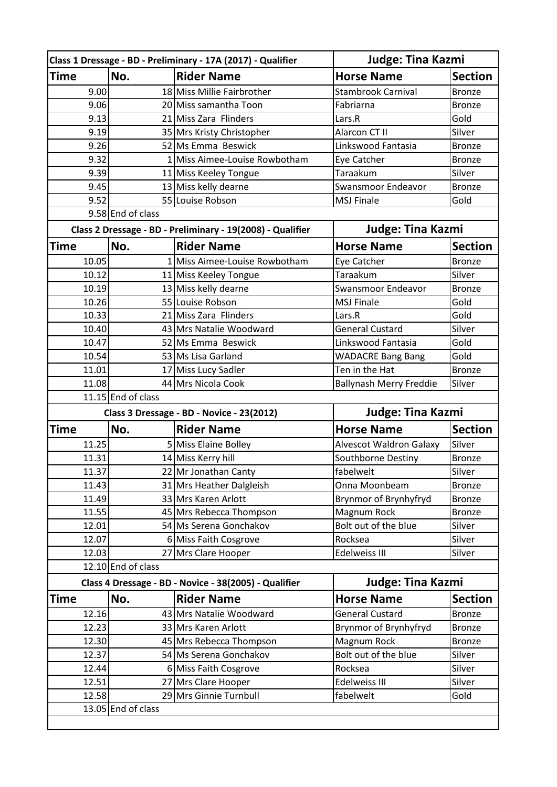|                    |                                                                       | Class 1 Dressage - BD - Preliminary - 17A (2017) - Qualifier |                                | Judge: Tina Kazmi |  |  |  |
|--------------------|-----------------------------------------------------------------------|--------------------------------------------------------------|--------------------------------|-------------------|--|--|--|
| <b>Time</b>        | No.                                                                   | <b>Rider Name</b>                                            | <b>Horse Name</b>              | <b>Section</b>    |  |  |  |
| 9.00               |                                                                       | 18 Miss Millie Fairbrother                                   | <b>Stambrook Carnival</b>      | <b>Bronze</b>     |  |  |  |
| 9.06               |                                                                       | 20 Miss samantha Toon                                        | Fabriarna                      | <b>Bronze</b>     |  |  |  |
| 9.13               |                                                                       | 21 Miss Zara Flinders                                        | Lars.R                         | Gold              |  |  |  |
| 9.19               |                                                                       | 35 Mrs Kristy Christopher                                    | Alarcon CT II                  | Silver            |  |  |  |
| 9.26               |                                                                       | 52 Ms Emma Beswick                                           | Linkswood Fantasia             | <b>Bronze</b>     |  |  |  |
| 9.32               |                                                                       | 1 Miss Aimee-Louise Rowbotham                                | Eye Catcher                    | <b>Bronze</b>     |  |  |  |
| 9.39               |                                                                       | 11 Miss Keeley Tongue                                        | Taraakum                       | Silver            |  |  |  |
| 9.45               |                                                                       | 13 Miss kelly dearne                                         | Swansmoor Endeavor             | <b>Bronze</b>     |  |  |  |
| 9.52               |                                                                       | 55 Louise Robson                                             | <b>MSJ Finale</b>              | Gold              |  |  |  |
|                    | 9.58 End of class                                                     |                                                              |                                |                   |  |  |  |
|                    |                                                                       | Class 2 Dressage - BD - Preliminary - 19(2008) - Qualifier   | <b>Judge: Tina Kazmi</b>       |                   |  |  |  |
| <b>Time</b>        | No.                                                                   | <b>Rider Name</b>                                            | <b>Horse Name</b>              | <b>Section</b>    |  |  |  |
| 10.05              |                                                                       | 1 Miss Aimee-Louise Rowbotham                                | Eye Catcher                    | <b>Bronze</b>     |  |  |  |
| 10.12              |                                                                       | 11 Miss Keeley Tongue                                        | Taraakum                       | Silver            |  |  |  |
| 10.19              |                                                                       | 13 Miss kelly dearne                                         | Swansmoor Endeavor             | <b>Bronze</b>     |  |  |  |
| 10.26              |                                                                       | 55 Louise Robson                                             | <b>MSJ Finale</b>              | Gold              |  |  |  |
| 10.33              |                                                                       | 21 Miss Zara Flinders                                        | Lars.R                         | Gold              |  |  |  |
| 10.40              |                                                                       | 43 Mrs Natalie Woodward                                      | <b>General Custard</b>         | Silver            |  |  |  |
| 10.47              |                                                                       | 52 Ms Emma Beswick                                           | Linkswood Fantasia             | Gold              |  |  |  |
| 10.54              |                                                                       | 53 Ms Lisa Garland                                           | <b>WADACRE Bang Bang</b>       | Gold              |  |  |  |
| 11.01              |                                                                       | 17 Miss Lucy Sadler                                          | Ten in the Hat                 | <b>Bronze</b>     |  |  |  |
| 11.08              |                                                                       | 44 Mrs Nicola Cook                                           | <b>Ballynash Merry Freddie</b> | Silver            |  |  |  |
|                    | 11.15 End of class                                                    |                                                              |                                |                   |  |  |  |
|                    | <b>Judge: Tina Kazmi</b><br>Class 3 Dressage - BD - Novice - 23(2012) |                                                              |                                |                   |  |  |  |
| Time               | No.                                                                   | <b>Rider Name</b>                                            | <b>Horse Name</b>              | <b>Section</b>    |  |  |  |
| 11.25              |                                                                       | 5 Miss Elaine Bolley                                         | Alvescot Waldron Galaxy        | Silver            |  |  |  |
| 11.31              |                                                                       | 14 Miss Kerry hill                                           | Southborne Destiny             | <b>Bronze</b>     |  |  |  |
| 11.37              |                                                                       | 22 Mr Jonathan Canty                                         | fabelwelt                      | Silver            |  |  |  |
| 11.43              |                                                                       | 31 Mrs Heather Dalgleish                                     | Onna Moonbeam                  | <b>Bronze</b>     |  |  |  |
| 11.49              |                                                                       | 33 Mrs Karen Arlott                                          | Brynmor of Brynhyfryd          | <b>Bronze</b>     |  |  |  |
| 11.55              |                                                                       | 45 Mrs Rebecca Thompson                                      | Magnum Rock                    | <b>Bronze</b>     |  |  |  |
| 12.01              |                                                                       | 54 Ms Serena Gonchakov                                       | Bolt out of the blue           | Silver            |  |  |  |
| 12.07              |                                                                       | 6 Miss Faith Cosgrove                                        | Rocksea                        | Silver            |  |  |  |
| 12.03              |                                                                       | 27 Mrs Clare Hooper                                          | Edelweiss III                  | Silver            |  |  |  |
| 12.10 End of class |                                                                       |                                                              |                                |                   |  |  |  |
|                    |                                                                       | Class 4 Dressage - BD - Novice - 38(2005) - Qualifier        | <b>Judge: Tina Kazmi</b>       |                   |  |  |  |
| Time               | No.                                                                   | <b>Rider Name</b>                                            | <b>Horse Name</b>              | <b>Section</b>    |  |  |  |
| 12.16              |                                                                       | 43 Mrs Natalie Woodward                                      | <b>General Custard</b>         | <b>Bronze</b>     |  |  |  |
| 12.23              |                                                                       | 33 Mrs Karen Arlott                                          | <b>Brynmor of Brynhyfryd</b>   | <b>Bronze</b>     |  |  |  |
| 12.30              |                                                                       | 45 Mrs Rebecca Thompson                                      | Magnum Rock                    | <b>Bronze</b>     |  |  |  |
| 12.37              |                                                                       | 54 Ms Serena Gonchakov                                       | Bolt out of the blue           | Silver            |  |  |  |
| 12.44              |                                                                       | 6 Miss Faith Cosgrove                                        | Rocksea                        | Silver            |  |  |  |
| 12.51              |                                                                       | 27 Mrs Clare Hooper                                          | Edelweiss III                  | Silver            |  |  |  |
| 12.58              |                                                                       | 29 Mrs Ginnie Turnbull                                       | fabelwelt                      | Gold              |  |  |  |
|                    | 13.05 End of class                                                    |                                                              |                                |                   |  |  |  |
|                    |                                                                       |                                                              |                                |                   |  |  |  |